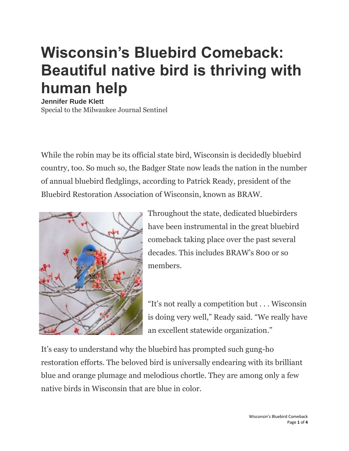## **Wisconsin's Bluebird Comeback: Beautiful native bird is thriving with human help**

**Jennifer Rude Klett** Special to the Milwaukee Journal Sentinel

While the robin may be its official state bird, Wisconsin is decidedly bluebird country, too. So much so, the Badger State now leads the nation in the number of annual bluebird fledglings, according to Patrick Ready, president of the Bluebird Restoration Association of Wisconsin, known as BRAW.



Throughout the state, dedicated bluebirders have been instrumental in the great bluebird comeback taking place over the past several decades. This includes BRAW's 800 or so members.

"It's not really a competition but . . . Wisconsin is doing very well," Ready said. "We really have an excellent statewide organization."

It's easy to understand why the bluebird has prompted such gung-ho restoration efforts. The beloved bird is universally endearing with its brilliant blue and orange plumage and melodious chortle. They are among only a few native birds in Wisconsin that are blue in color.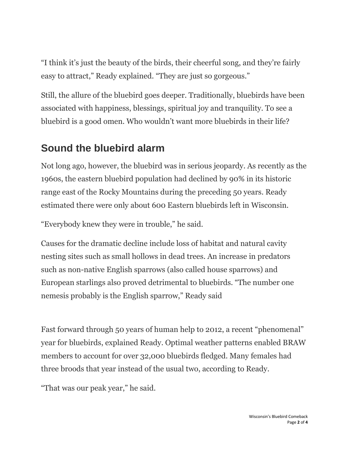"I think it's just the beauty of the birds, their cheerful song, and they're fairly easy to attract," Ready explained. "They are just so gorgeous."

Still, the allure of the bluebird goes deeper. Traditionally, bluebirds have been associated with happiness, blessings, spiritual joy and tranquility. To see a bluebird is a good omen. Who wouldn't want more bluebirds in their life?

## **Sound the bluebird alarm**

Not long ago, however, the bluebird was in serious jeopardy. As recently as the 1960s, the eastern bluebird population had declined by 90% in its historic range east of the Rocky Mountains during the preceding 50 years. Ready estimated there were only about 600 Eastern bluebirds left in Wisconsin.

"Everybody knew they were in trouble," he said.

Causes for the dramatic decline include loss of habitat and natural cavity nesting sites such as small hollows in dead trees. An increase in predators such as non-native English sparrows (also called house sparrows) and European starlings also proved detrimental to bluebirds. "The number one nemesis probably is the English sparrow," Ready said

Fast forward through 50 years of human help to 2012, a recent "phenomenal" year for bluebirds, explained Ready. Optimal weather patterns enabled BRAW members to account for over 32,000 bluebirds fledged. Many females had three broods that year instead of the usual two, according to Ready.

"That was our peak year," he said.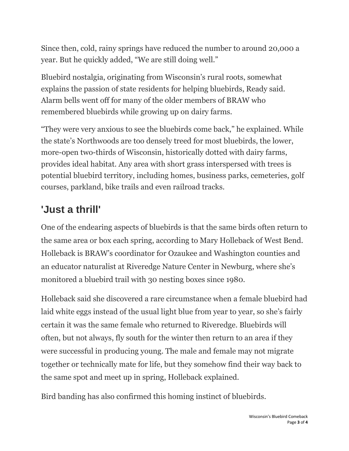Since then, cold, rainy springs have reduced the number to around 20,000 a year. But he quickly added, "We are still doing well."

Bluebird nostalgia, originating from Wisconsin's rural roots, somewhat explains the passion of state residents for helping bluebirds, Ready said. Alarm bells went off for many of the older members of BRAW who remembered bluebirds while growing up on dairy farms.

"They were very anxious to see the bluebirds come back," he explained. While the state's Northwoods are too densely treed for most bluebirds, the lower, more-open two-thirds of Wisconsin, historically dotted with dairy farms, provides ideal habitat. Any area with short grass interspersed with trees is potential bluebird territory, including homes, business parks, cemeteries, golf courses, parkland, bike trails and even railroad tracks.

## **'Just a thrill'**

One of the endearing aspects of bluebirds is that the same birds often return to the same area or box each spring, according to Mary Holleback of West Bend. Holleback is BRAW's coordinator for Ozaukee and Washington counties and an educator naturalist at Riveredge Nature Center in Newburg, where she's monitored a bluebird trail with 30 nesting boxes since 1980.

Holleback said she discovered a rare circumstance when a female bluebird had laid white eggs instead of the usual light blue from year to year, so she's fairly certain it was the same female who returned to Riveredge. Bluebirds will often, but not always, fly south for the winter then return to an area if they were successful in producing young. The male and female may not migrate together or technically mate for life, but they somehow find their way back to the same spot and meet up in spring, Holleback explained.

Bird banding has also confirmed this homing instinct of bluebirds.